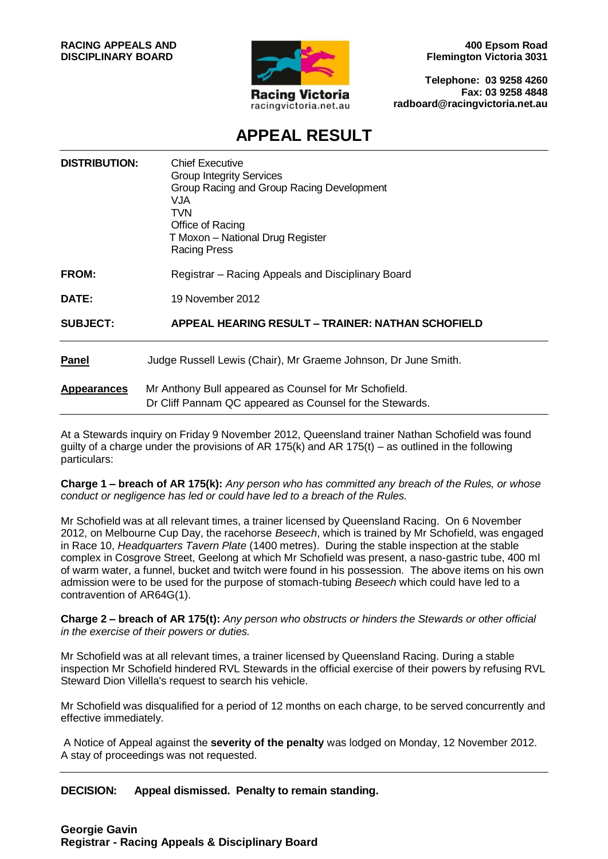

**400 Epsom Road Flemington Victoria 3031**

**Telephone: 03 9258 4260 Fax: 03 9258 4848 radboard@racingvictoria.net.au**

# **APPEAL RESULT**

| <b>DISTRIBUTION:</b> | <b>Chief Executive</b><br><b>Group Integrity Services</b><br>Group Racing and Group Racing Development<br>VJA<br><b>TVN</b><br>Office of Racing<br>T Moxon - National Drug Register<br><b>Racing Press</b> |
|----------------------|------------------------------------------------------------------------------------------------------------------------------------------------------------------------------------------------------------|
| FROM:                | Registrar – Racing Appeals and Disciplinary Board                                                                                                                                                          |
| DATE:                | 19 November 2012                                                                                                                                                                                           |
| <b>SUBJECT:</b>      | <b>APPEAL HEARING RESULT – TRAINER: NATHAN SCHOFIELD</b>                                                                                                                                                   |
| Panel                | Judge Russell Lewis (Chair), Mr Graeme Johnson, Dr June Smith.                                                                                                                                             |
| <b>Appearances</b>   | Mr Anthony Bull appeared as Counsel for Mr Schofield.                                                                                                                                                      |

At a Stewards inquiry on Friday 9 November 2012, Queensland trainer Nathan Schofield was found guilty of a charge under the provisions of AR 175(k) and AR 175(t) – as outlined in the following particulars:

Dr Cliff Pannam QC appeared as Counsel for the Stewards.

**Charge 1 – breach of AR 175(k):** *Any person who has committed any breach of the Rules, or whose conduct or negligence has led or could have led to a breach of the Rules.*

Mr Schofield was at all relevant times, a trainer licensed by Queensland Racing. On 6 November 2012, on Melbourne Cup Day, the racehorse *Beseech*, which is trained by Mr Schofield, was engaged in Race 10, *Headquarters Tavern Plate* (1400 metres). During the stable inspection at the stable complex in Cosgrove Street, Geelong at which Mr Schofield was present, a naso-gastric tube, 400 ml of warm water, a funnel, bucket and twitch were found in his possession. The above items on his own admission were to be used for the purpose of stomach-tubing *Beseech* which could have led to a contravention of AR64G(1).

**Charge 2 – breach of AR 175(t):** *Any person who obstructs or hinders the Stewards or other official in the exercise of their powers or duties.*

Mr Schofield was at all relevant times, a trainer licensed by Queensland Racing. During a stable inspection Mr Schofield hindered RVL Stewards in the official exercise of their powers by refusing RVL Steward Dion Villella's request to search his vehicle.

Mr Schofield was disqualified for a period of 12 months on each charge, to be served concurrently and effective immediately.

A Notice of Appeal against the **severity of the penalty** was lodged on Monday, 12 November 2012. A stay of proceedings was not requested.

**DECISION: Appeal dismissed. Penalty to remain standing.**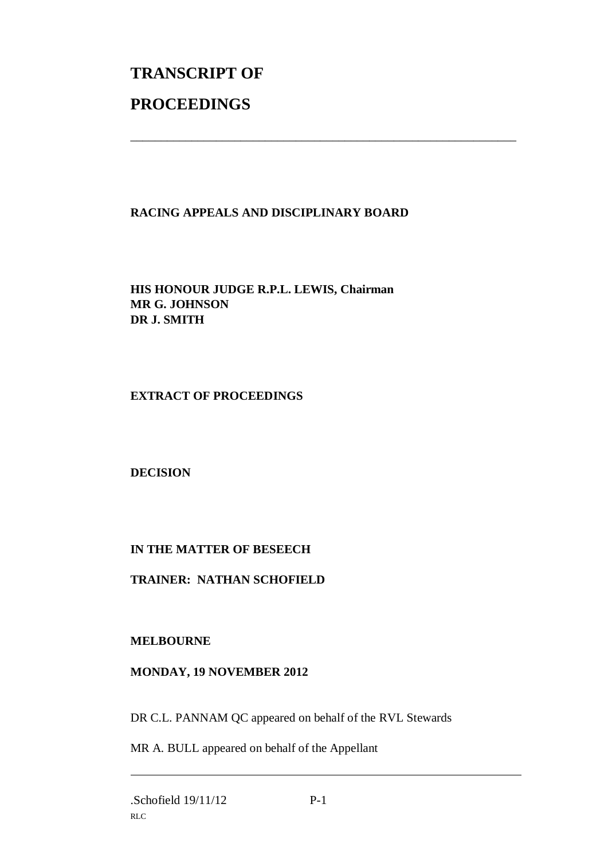# **TRANSCRIPT OF PROCEEDINGS**

## **RACING APPEALS AND DISCIPLINARY BOARD**

\_\_\_\_\_\_\_\_\_\_\_\_\_\_\_\_\_\_\_\_\_\_\_\_\_\_\_\_\_\_\_\_\_\_\_\_\_\_\_\_\_\_\_\_\_\_\_\_\_\_\_\_\_\_\_\_\_\_\_\_\_\_\_

**HIS HONOUR JUDGE R.P.L. LEWIS, Chairman MR G. JOHNSON DR J. SMITH**

**EXTRACT OF PROCEEDINGS**

**DECISION**

### **IN THE MATTER OF BESEECH**

**TRAINER: NATHAN SCHOFIELD**

**MELBOURNE**

### **MONDAY, 19 NOVEMBER 2012**

DR C.L. PANNAM QC appeared on behalf of the RVL Stewards

MR A. BULL appeared on behalf of the Appellant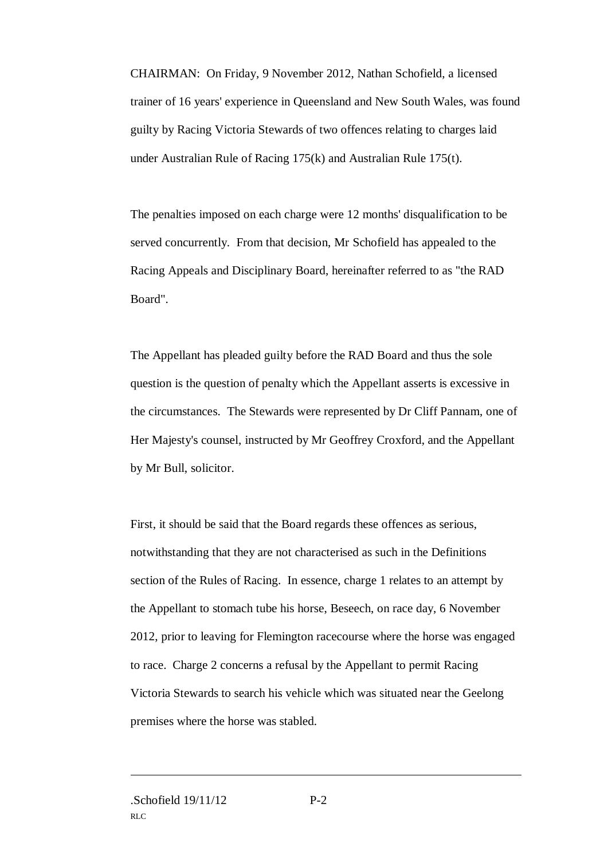CHAIRMAN: On Friday, 9 November 2012, Nathan Schofield, a licensed trainer of 16 years' experience in Queensland and New South Wales, was found guilty by Racing Victoria Stewards of two offences relating to charges laid under Australian Rule of Racing 175(k) and Australian Rule 175(t).

The penalties imposed on each charge were 12 months' disqualification to be served concurrently. From that decision, Mr Schofield has appealed to the Racing Appeals and Disciplinary Board, hereinafter referred to as "the RAD Board".

The Appellant has pleaded guilty before the RAD Board and thus the sole question is the question of penalty which the Appellant asserts is excessive in the circumstances. The Stewards were represented by Dr Cliff Pannam, one of Her Majesty's counsel, instructed by Mr Geoffrey Croxford, and the Appellant by Mr Bull, solicitor.

First, it should be said that the Board regards these offences as serious, notwithstanding that they are not characterised as such in the Definitions section of the Rules of Racing. In essence, charge 1 relates to an attempt by the Appellant to stomach tube his horse, Beseech, on race day, 6 November 2012, prior to leaving for Flemington racecourse where the horse was engaged to race. Charge 2 concerns a refusal by the Appellant to permit Racing Victoria Stewards to search his vehicle which was situated near the Geelong premises where the horse was stabled.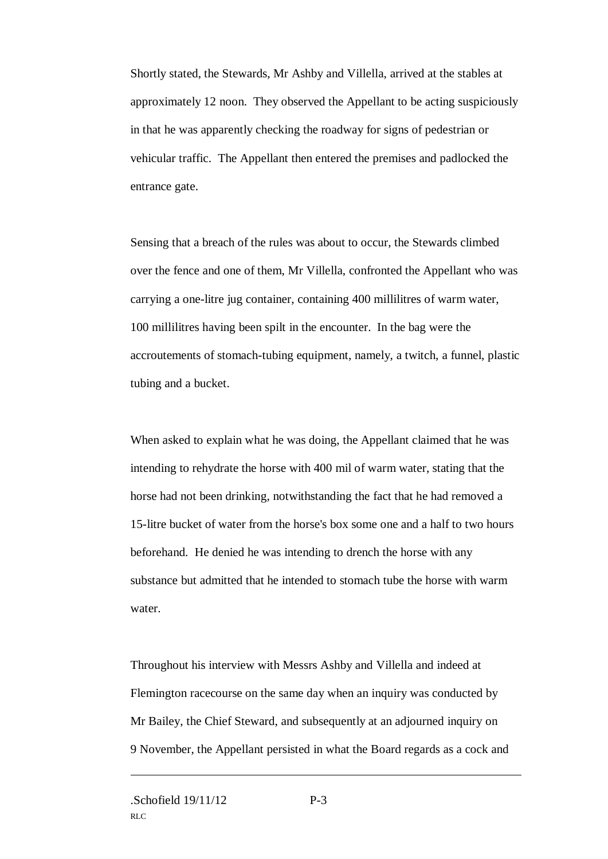Shortly stated, the Stewards, Mr Ashby and Villella, arrived at the stables at approximately 12 noon. They observed the Appellant to be acting suspiciously in that he was apparently checking the roadway for signs of pedestrian or vehicular traffic. The Appellant then entered the premises and padlocked the entrance gate.

Sensing that a breach of the rules was about to occur, the Stewards climbed over the fence and one of them, Mr Villella, confronted the Appellant who was carrying a one-litre jug container, containing 400 millilitres of warm water, 100 millilitres having been spilt in the encounter. In the bag were the accroutements of stomach-tubing equipment, namely, a twitch, a funnel, plastic tubing and a bucket.

When asked to explain what he was doing, the Appellant claimed that he was intending to rehydrate the horse with 400 mil of warm water, stating that the horse had not been drinking, notwithstanding the fact that he had removed a 15-litre bucket of water from the horse's box some one and a half to two hours beforehand. He denied he was intending to drench the horse with any substance but admitted that he intended to stomach tube the horse with warm water.

Throughout his interview with Messrs Ashby and Villella and indeed at Flemington racecourse on the same day when an inquiry was conducted by Mr Bailey, the Chief Steward, and subsequently at an adjourned inquiry on 9 November, the Appellant persisted in what the Board regards as a cock and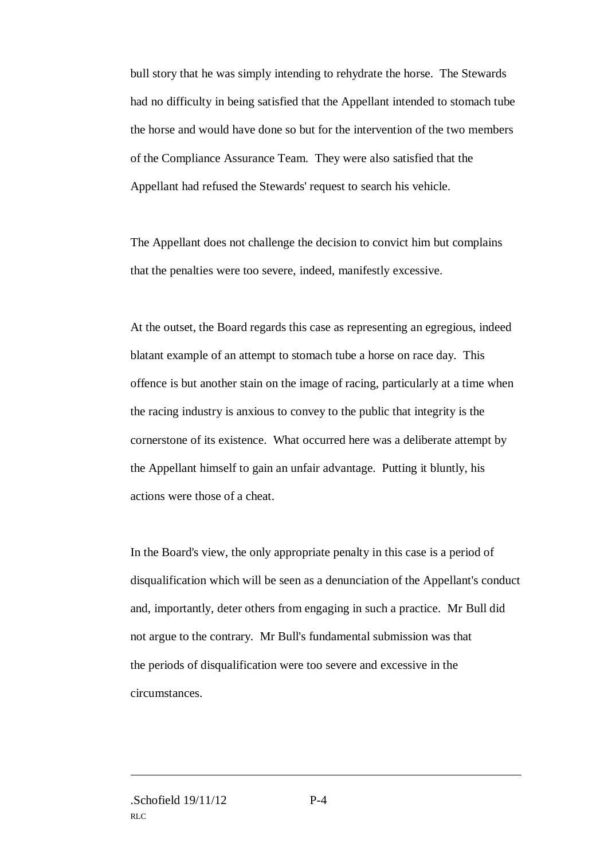bull story that he was simply intending to rehydrate the horse. The Stewards had no difficulty in being satisfied that the Appellant intended to stomach tube the horse and would have done so but for the intervention of the two members of the Compliance Assurance Team. They were also satisfied that the Appellant had refused the Stewards' request to search his vehicle.

The Appellant does not challenge the decision to convict him but complains that the penalties were too severe, indeed, manifestly excessive.

At the outset, the Board regards this case as representing an egregious, indeed blatant example of an attempt to stomach tube a horse on race day. This offence is but another stain on the image of racing, particularly at a time when the racing industry is anxious to convey to the public that integrity is the cornerstone of its existence. What occurred here was a deliberate attempt by the Appellant himself to gain an unfair advantage. Putting it bluntly, his actions were those of a cheat.

In the Board's view, the only appropriate penalty in this case is a period of disqualification which will be seen as a denunciation of the Appellant's conduct and, importantly, deter others from engaging in such a practice. Mr Bull did not argue to the contrary. Mr Bull's fundamental submission was that the periods of disqualification were too severe and excessive in the circumstances.